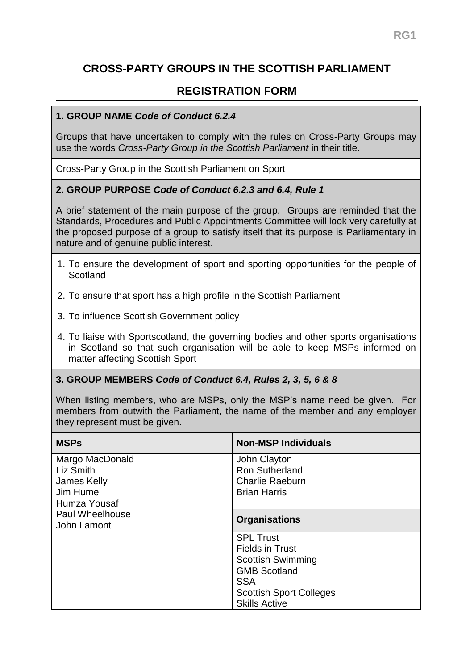# **CROSS-PARTY GROUPS IN THE SCOTTISH PARLIAMENT**

## **REGISTRATION FORM**

#### **1. GROUP NAME** *Code of Conduct 6.2.4*

Groups that have undertaken to comply with the rules on Cross-Party Groups may use the words *Cross-Party Group in the Scottish Parliament* in their title.

Cross-Party Group in the Scottish Parliament on Sport

#### **2. GROUP PURPOSE** *Code of Conduct 6.2.3 and 6.4, Rule 1*

A brief statement of the main purpose of the group. Groups are reminded that the Standards, Procedures and Public Appointments Committee will look very carefully at the proposed purpose of a group to satisfy itself that its purpose is Parliamentary in nature and of genuine public interest.

- 1. To ensure the development of sport and sporting opportunities for the people of **Scotland**
- 2. To ensure that sport has a high profile in the Scottish Parliament
- 3. To influence Scottish Government policy
- 4. To liaise with Sportscotland, the governing bodies and other sports organisations in Scotland so that such organisation will be able to keep MSPs informed on matter affecting Scottish Sport

#### **3. GROUP MEMBERS** *Code of Conduct 6.4, Rules 2, 3, 5, 6 & 8*

When listing members, who are MSPs, only the MSP's name need be given. For members from outwith the Parliament, the name of the member and any employer they represent must be given.

| <b>MSPs</b>                                                                      | <b>Non-MSP Individuals</b>                    |
|----------------------------------------------------------------------------------|-----------------------------------------------|
| Margo MacDonald<br>Liz Smith                                                     | John Clayton<br><b>Ron Sutherland</b>         |
| James Kelly<br>Jim Hume<br>Humza Yousaf<br><b>Paul Wheelhouse</b><br>John Lamont | <b>Charlie Raeburn</b><br><b>Brian Harris</b> |
|                                                                                  | <b>Organisations</b>                          |
|                                                                                  | <b>SPL Trust</b>                              |
|                                                                                  | <b>Fields in Trust</b>                        |
|                                                                                  | <b>Scottish Swimming</b>                      |
|                                                                                  | <b>GMB Scotland</b>                           |
|                                                                                  | <b>SSA</b>                                    |
|                                                                                  | <b>Scottish Sport Colleges</b>                |
|                                                                                  | <b>Skills Active</b>                          |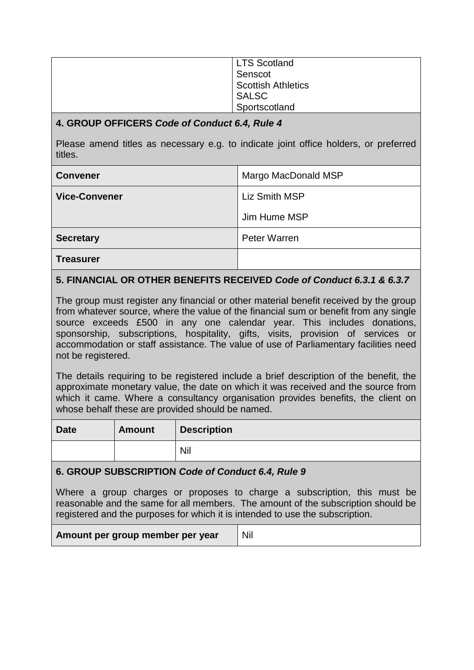| <b>LTS Scotland</b>       |
|---------------------------|
| Senscot                   |
| <b>Scottish Athletics</b> |
| <b>SALSC</b>              |
| Sportscotland             |

#### **4. GROUP OFFICERS** *Code of Conduct 6.4, Rule 4*

Please amend titles as necessary e.g. to indicate joint office holders, or preferred titles.

| <b>Convener</b>      | Margo MacDonald MSP  |
|----------------------|----------------------|
| <b>Vice-Convener</b> | <b>Liz Smith MSP</b> |
|                      | Jim Hume MSP         |
| <b>Secretary</b>     | Peter Warren         |
| <b>Treasurer</b>     |                      |

## **5. FINANCIAL OR OTHER BENEFITS RECEIVED** *Code of Conduct 6.3.1 & 6.3.7*

The group must register any financial or other material benefit received by the group from whatever source, where the value of the financial sum or benefit from any single source exceeds £500 in any one calendar year. This includes donations, sponsorship, subscriptions, hospitality, gifts, visits, provision of services or accommodation or staff assistance. The value of use of Parliamentary facilities need not be registered.

The details requiring to be registered include a brief description of the benefit, the approximate monetary value, the date on which it was received and the source from which it came. Where a consultancy organisation provides benefits, the client on whose behalf these are provided should be named.

| <b>Date</b> | <b>Amount</b> | <b>Description</b> |
|-------------|---------------|--------------------|
|             |               | Nil                |

#### **6. GROUP SUBSCRIPTION** *Code of Conduct 6.4, Rule 9*

Where a group charges or proposes to charge a subscription, this must be reasonable and the same for all members. The amount of the subscription should be registered and the purposes for which it is intended to use the subscription.

| Amount per group member per year | Nil |
|----------------------------------|-----|
|----------------------------------|-----|